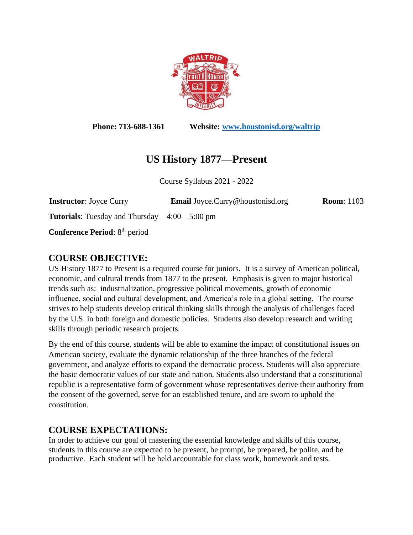

**Phone: 713-688-1361 Website: [www.houstonisd.org/waltrip](http://www.houstonisd.org/waltrip)**

# **US History 1877—Present**

Course Syllabus 2021 - 2022

**Instructor**: Joyce Curry **Email** Joyce.Curry@houstonisd.org **Room**: 1103

**Tutorials:** Tuesday and Thursday  $-4:00 - 5:00$  pm

**Conference Period**: 8 th period

### **COURSE OBJECTIVE:**

US History 1877 to Present is a required course for juniors. It is a survey of American political, economic, and cultural trends from 1877 to the present. Emphasis is given to major historical trends such as: industrialization, progressive political movements, growth of economic influence, social and cultural development, and America's role in a global setting. The course strives to help students develop critical thinking skills through the analysis of challenges faced by the U.S. in both foreign and domestic policies. Students also develop research and writing skills through periodic research projects.

By the end of this course, students will be able to examine the impact of constitutional issues on American society, evaluate the dynamic relationship of the three branches of the federal government, and analyze efforts to expand the democratic process. Students will also appreciate the basic democratic values of our state and nation. Students also understand that a constitutional republic is a representative form of government whose representatives derive their authority from the consent of the governed, serve for an established tenure, and are sworn to uphold the constitution.

## **COURSE EXPECTATIONS:**

In order to achieve our goal of mastering the essential knowledge and skills of this course, students in this course are expected to be present, be prompt, be prepared, be polite, and be productive. Each student will be held accountable for class work, homework and tests.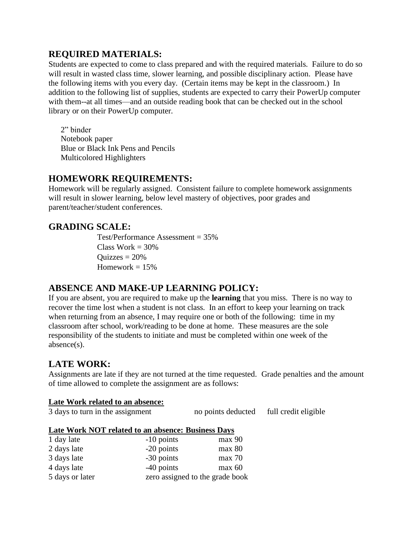## **REQUIRED MATERIALS:**

Students are expected to come to class prepared and with the required materials. Failure to do so will result in wasted class time, slower learning, and possible disciplinary action. Please have the following items with you every day. (Certain items may be kept in the classroom.) In addition to the following list of supplies, students are expected to carry their PowerUp computer with them--at all times—and an outside reading book that can be checked out in the school library or on their PowerUp computer.

2" binder Notebook paper Blue or Black Ink Pens and Pencils Multicolored Highlighters

### **HOMEWORK REQUIREMENTS:**

Homework will be regularly assigned. Consistent failure to complete homework assignments will result in slower learning, below level mastery of objectives, poor grades and parent/teacher/student conferences.

### **GRADING SCALE:**

Test/Performance Assessment = 35% Class Work  $= 30\%$  $Quizzes = 20%$ Homework  $= 15\%$ 

### **ABSENCE AND MAKE-UP LEARNING POLICY:**

If you are absent, you are required to make up the **learning** that you miss. There is no way to recover the time lost when a student is not class. In an effort to keep your learning on track when returning from an absence, I may require one or both of the following: time in my classroom after school, work/reading to be done at home. These measures are the sole responsibility of the students to initiate and must be completed within one week of the absence(s).

### **LATE WORK:**

Assignments are late if they are not turned at the time requested. Grade penalties and the amount of time allowed to complete the assignment are as follows:

#### **Late Work related to an absence:**

| 3 days to turn in the assignment | no points deducted | full credit eligible |
|----------------------------------|--------------------|----------------------|
|                                  |                    |                      |

#### **Late Work NOT related to an absence: Business Days**

| 1 day late      | $-10$ points                    | max 90 |
|-----------------|---------------------------------|--------|
| 2 days late     | -20 points                      | max 80 |
| 3 days late     | -30 points                      | max 70 |
| 4 days late     | $-40$ points                    | max 60 |
| 5 days or later | zero assigned to the grade book |        |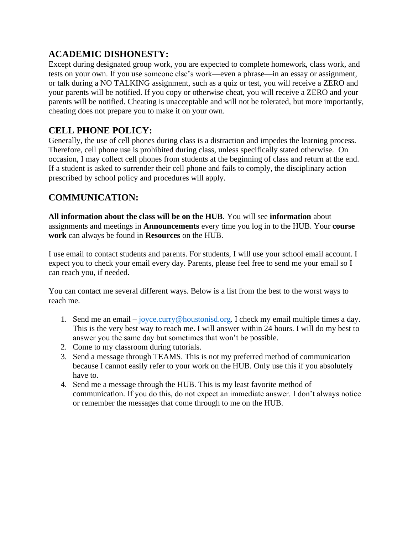## **ACADEMIC DISHONESTY:**

Except during designated group work, you are expected to complete homework, class work, and tests on your own. If you use someone else's work—even a phrase—in an essay or assignment, or talk during a NO TALKING assignment, such as a quiz or test, you will receive a ZERO and your parents will be notified. If you copy or otherwise cheat, you will receive a ZERO and your parents will be notified. Cheating is unacceptable and will not be tolerated, but more importantly, cheating does not prepare you to make it on your own.

## **CELL PHONE POLICY:**

Generally, the use of cell phones during class is a distraction and impedes the learning process. Therefore, cell phone use is prohibited during class, unless specifically stated otherwise. On occasion, I may collect cell phones from students at the beginning of class and return at the end. If a student is asked to surrender their cell phone and fails to comply, the disciplinary action prescribed by school policy and procedures will apply.

## **COMMUNICATION:**

**All information about the class will be on the HUB**. You will see **information** about assignments and meetings in **Announcements** every time you log in to the HUB. Your **course work** can always be found in **Resources** on the HUB.

I use email to contact students and parents. For students, I will use your school email account. I expect you to check your email every day. Parents, please feel free to send me your email so I can reach you, if needed.

You can contact me several different ways. Below is a list from the best to the worst ways to reach me.

- 1. Send me an email [joyce.curry@houstonisd.org.](mailto:joyce.curry@houstonisd.org) I check my email multiple times a day. This is the very best way to reach me. I will answer within 24 hours. I will do my best to answer you the same day but sometimes that won't be possible.
- 2. Come to my classroom during tutorials.
- 3. Send a message through TEAMS. This is not my preferred method of communication because I cannot easily refer to your work on the HUB. Only use this if you absolutely have to.
- 4. Send me a message through the HUB. This is my least favorite method of communication. If you do this, do not expect an immediate answer. I don't always notice or remember the messages that come through to me on the HUB.